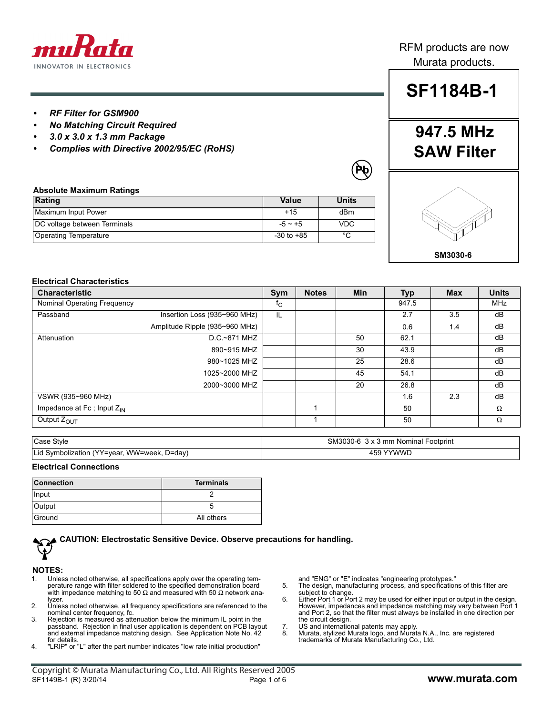

#### RFM products are now Murata products.

**SF1184B-1**

*• RF Filter for GSM900*

**Absolute Maximum Ratings**

- *No Matching Circuit Required*
- *3.0 x 3.0 x 1.3 mm Package*
- *Complies with Directive 2002/95/EC (RoHS)*

**Rating Value Units** Maximum Input Power example and the set of the set of the set of the set of the dBm DC voltage between Terminals  $\overline{)}$  -5 ~ +5 VDC Operating Temperature -30 to +85 °C

# **947.5 MHz SAW Filter**

**Pb**



#### **Electrical Characteristics**

| <b>Characteristic</b>           |                                | Sym                       | <b>Notes</b> | <b>Min</b> | Typ   | <b>Max</b> | <b>Units</b> |
|---------------------------------|--------------------------------|---------------------------|--------------|------------|-------|------------|--------------|
| Nominal Operating Frequency     |                                | $\mathfrak{r}_\mathrm{C}$ |              |            | 947.5 |            | MHz          |
| Passband                        | Insertion Loss (935~960 MHz)   | IL                        |              |            | 2.7   | 3.5        | dB           |
|                                 | Amplitude Ripple (935~960 MHz) |                           |              |            | 0.6   | 1.4        | dB           |
| Attenuation                     | D.C.~871 MHZ                   |                           |              | 50         | 62.1  |            | dB           |
|                                 | 890~915 MHZ                    |                           |              | 30         | 43.9  |            | dB           |
|                                 | 980~1025 MHZ                   |                           |              | 25         | 28.6  |            | dB           |
|                                 | 1025~2000 MHZ                  |                           |              | 45         | 54.1  |            | dB           |
|                                 | 2000~3000 MHZ                  |                           |              | 20         | 26.8  |            | dB           |
| VSWR (935~960 MHz)              |                                |                           |              |            | 1.6   | 2.3        | dB           |
| Impedance at Fc; Input $Z_{IN}$ |                                |                           |              |            | 50    |            | $\Omega$     |
| Output Z <sub>OUT</sub>         |                                |                           |              |            | 50    |            | $\Omega$     |

| Case Style                                  | SM3030-6 3 x 3 mm Nominal Footprint |  |  |  |
|---------------------------------------------|-------------------------------------|--|--|--|
| Lid Symbolization (YY=year, WW=week, D=day) | YYWWL<br>151                        |  |  |  |

#### **Electrical Connections**

| <b>Connection</b> | <b>Terminals</b> |  |  |
|-------------------|------------------|--|--|
| Input             |                  |  |  |
| Output            |                  |  |  |
| Ground            | All others       |  |  |

### **CAUTION: Electrostatic Sensitive Device. Observe precautions for handling.**

#### **NOTES:**

- 1. Unless noted otherwise, all specifications apply over the operating temperature range with filter soldered to the specified demonstration board with impedance matching to 50  $\Omega$  and measured with 50  $\Omega$  network analyzer.
- 2. Unless noted otherwise, all frequency specifications are referenced to the nominal center frequency, fc.
- 3. Rejection is measured as attenuation below the minimum IL point in the passband. Rejection in final user application is dependent on PCB layout and external impedance matching design. See Application Note No. 42
- for details. 4. "LRIP" or "L" after the part number indicates "low rate initial production"

and "ENG" or "E" indicates "engineering prototypes."

- 5. The design, manufacturing process, and specifications of this filter are subject to change. 6. Either Port 1 or Port 2 may be used for either input or output in the design.
- However, impedances and impedance matching may vary between Port 1 and Port 2, so that the filter must always be installed in one direction per the circuit design.
- 7. US and international patents may apply.<br>8. Murata, stylized Murata logo, and Murat
- 8. Murata, stylized Murata logo, and Murata N.A., Inc. are registered trademarks of Murata Manufacturing Co., Ltd.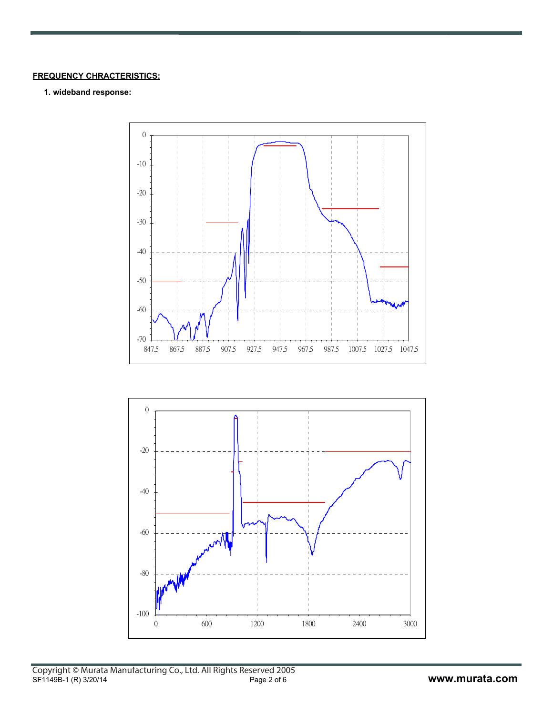#### **FREQUENCY CHRACTERISTICS:**

#### **1. wideband response:**



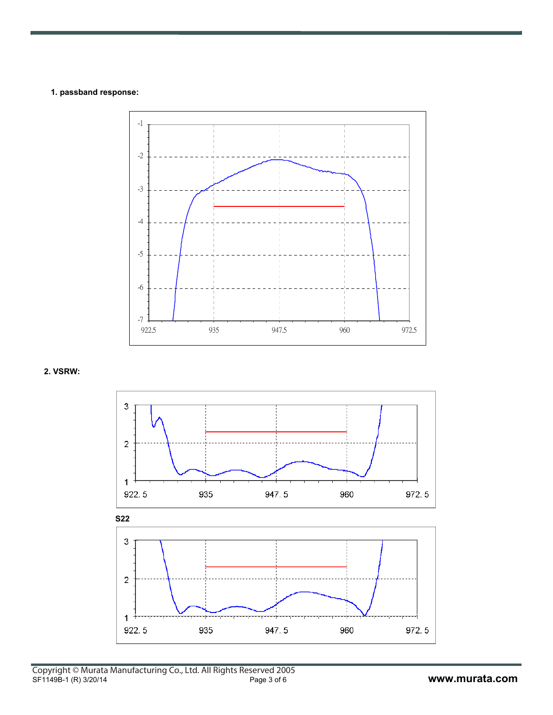#### **1. passband response:**



 **2. VSRW:**

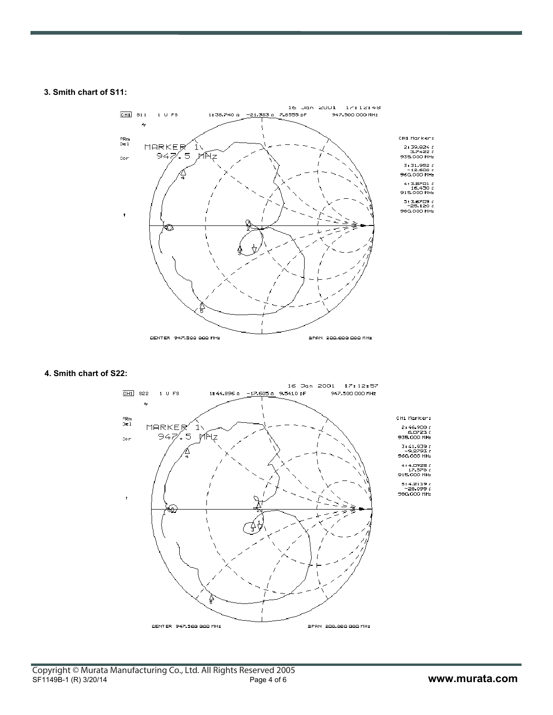#### **3. Smith chart of S11:**



#### **4. Smith chart of S22:**

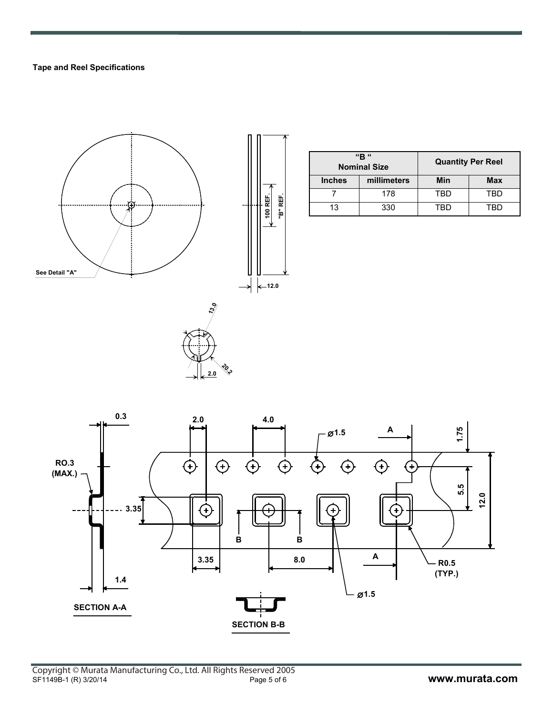#### **Tape and Reel Specifications**



|               | "R"<br><b>Nominal Size</b> | <b>Quantity Per Reel</b> |            |
|---------------|----------------------------|--------------------------|------------|
| <b>Inches</b> | millimeters                | Min                      | <b>Max</b> |
|               | 178                        | TRD                      | TRD        |
| 13            | 330                        |                          | <b>FRD</b> |



**20.2 2.0**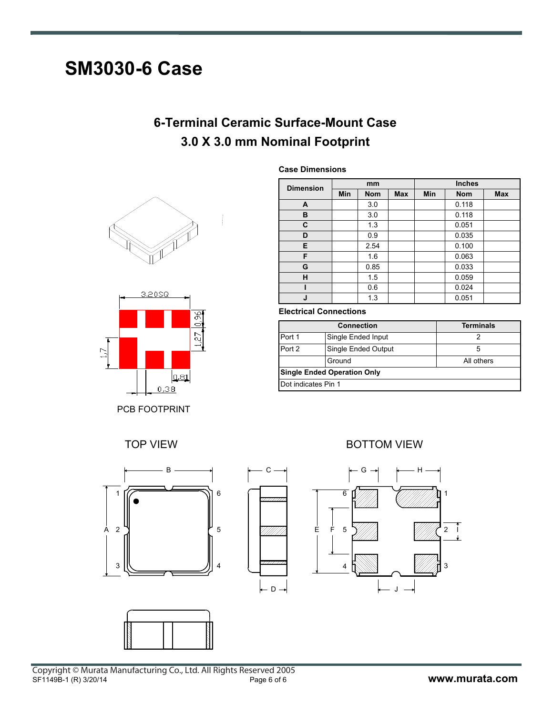# **SM3030-6 Case**

### **6-Terminal Ceramic Surface-Mount Case 3.0 X 3.0 mm Nominal Footprint**





PCB FOOTPRINT





**Dimension mm Inches**

**Case Dimensions**

| <b>Dimension</b> | Min | <b>Nom</b> | <b>Max</b> | Min | <b>Nom</b> | <b>Max</b> |
|------------------|-----|------------|------------|-----|------------|------------|
| A                |     | 3.0        |            |     | 0.118      |            |
| в                |     | 3.0        |            |     | 0.118      |            |
| C                |     | 1.3        |            |     | 0.051      |            |
| D                |     | 0.9        |            |     | 0.035      |            |
| E                |     | 2.54       |            |     | 0.100      |            |
| F                |     | 1.6        |            |     | 0.063      |            |
| G                |     | 0.85       |            |     | 0.033      |            |
| н                |     | 1.5        |            |     | 0.059      |            |
|                  |     | 0.6        |            |     | 0.024      |            |
| J                |     | 1.3        |            |     | 0.051      |            |

#### **Electrical Connections**

|                                    | <b>Connection</b>   | <b>Terminals</b> |  |  |  |
|------------------------------------|---------------------|------------------|--|--|--|
| Port 1                             | Single Ended Input  |                  |  |  |  |
| Port 2                             | Single Ended Output | 5                |  |  |  |
|                                    | Ground              | All others       |  |  |  |
| <b>Single Ended Operation Only</b> |                     |                  |  |  |  |
| Dot indicates Pin 1                |                     |                  |  |  |  |

TOP VIEW **BOTTOM VIEW**